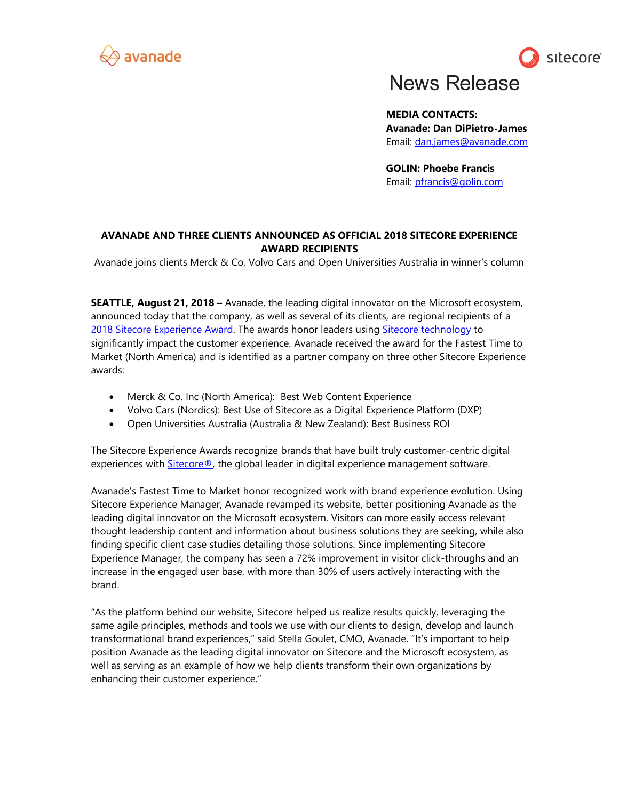



# **News Release**

**MEDIA CONTACTS: Avanade: Dan DiPietro-James** Email: [dan.james@avanade.com](mailto:dan.james@avanade.com)

**GOLIN: Phoebe Francis** Email: [pfrancis@golin.com](mailto:pfrancis@golin.com)

# **AVANADE AND THREE CLIENTS ANNOUNCED AS OFFICIAL 2018 SITECORE EXPERIENCE AWARD RECIPIENTS**

Avanade joins clients Merck & Co, Volvo Cars and Open Universities Australia in winner's column

**SEATTLE, August 21, 2018 –** Avanade, the leading digital innovator on the Microsoft ecosystem, announced today that the company, as well as several of its clients, are regional recipients of a [2018 Sitecore Experience Award.](https://www.avanade.com/en/about-avanade/partnerships/sitecore/sitecore-experience-awards) The awards honor leaders using [Sitecore technology](https://www.avanade.com/en/technologies/sitecore) to significantly impact the customer experience. Avanade received the award for the Fastest Time to Market (North America) and is identified as a partner company on three other Sitecore Experience awards:

- Merck & Co. Inc (North America): Best Web Content Experience
- Volvo Cars (Nordics): Best Use of Sitecore as a Digital Experience Platform (DXP)
- Open Universities Australia (Australia & New Zealand): Best Business ROI

The Sitecore Experience Awards recognize brands that have built truly customer-centric digital experiences with **Sitecore®**, the global leader in digital experience management software.

Avanade's Fastest Time to Market honor recognized work with brand experience evolution. Using Sitecore Experience Manager, Avanade revamped its website, better positioning Avanade as the leading digital innovator on the Microsoft ecosystem. Visitors can more easily access relevant thought leadership content and information about business solutions they are seeking, while also finding specific client case studies detailing those solutions. Since implementing Sitecore Experience Manager, the company has seen a 72% improvement in visitor click-throughs and an increase in the engaged user base, with more than 30% of users actively interacting with the brand.

"As the platform behind our website, Sitecore helped us realize results quickly, leveraging the same agile principles, methods and tools we use with our clients to design, develop and launch transformational brand experiences," said Stella Goulet, CMO, Avanade. "It's important to help position Avanade as the leading digital innovator on Sitecore and the Microsoft ecosystem, as well as serving as an example of how we help clients transform their own organizations by enhancing their customer experience."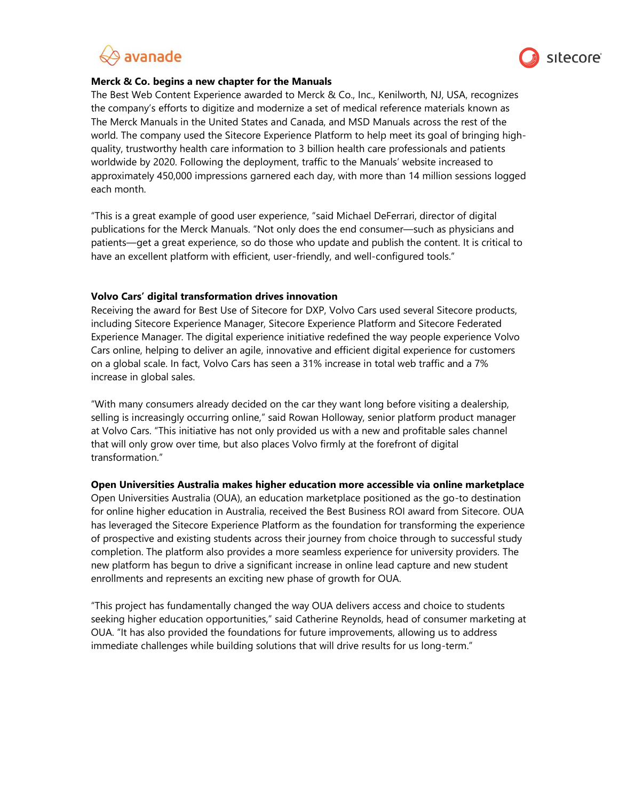



# **Merck & Co. begins a new chapter for the Manuals**

The Best Web Content Experience awarded to Merck & Co., Inc., Kenilworth, NJ, USA, recognizes the company's efforts to digitize and modernize a set of medical reference materials known as The Merck Manuals in the United States and Canada, and MSD Manuals across the rest of the world. The company used the Sitecore Experience Platform to help meet its goal of bringing highquality, trustworthy health care information to 3 billion health care professionals and patients worldwide by 2020. Following the deployment, traffic to the Manuals' website increased to approximately 450,000 impressions garnered each day, with more than 14 million sessions logged each month.

"This is a great example of good user experience, "said Michael DeFerrari, director of digital publications for the Merck Manuals. "Not only does the end consumer—such as physicians and patients—get a great experience, so do those who update and publish the content. It is critical to have an excellent platform with efficient, user-friendly, and well-configured tools."

## **Volvo Cars' digital transformation drives innovation**

Receiving the award for Best Use of Sitecore for DXP, Volvo Cars used several Sitecore products, including Sitecore Experience Manager, Sitecore Experience Platform and Sitecore Federated Experience Manager. The digital experience initiative redefined the way people experience Volvo Cars online, helping to deliver an agile, innovative and efficient digital experience for customers on a global scale. In fact, Volvo Cars has seen a 31% increase in total web traffic and a 7% increase in global sales.

"With many consumers already decided on the car they want long before visiting a dealership, selling is increasingly occurring online," said Rowan Holloway, senior platform product manager at Volvo Cars. "This initiative has not only provided us with a new and profitable sales channel that will only grow over time, but also places Volvo firmly at the forefront of digital transformation."

#### **Open Universities Australia makes higher education more accessible via online marketplace**

Open Universities Australia (OUA), an education marketplace positioned as the go-to destination for online higher education in Australia, received the Best Business ROI award from Sitecore. OUA has leveraged the Sitecore Experience Platform as the foundation for transforming the experience of prospective and existing students across their journey from choice through to successful study completion. The platform also provides a more seamless experience for university providers. The new platform has begun to drive a significant increase in online lead capture and new student enrollments and represents an exciting new phase of growth for OUA.

"This project has fundamentally changed the way OUA delivers access and choice to students seeking higher education opportunities," said Catherine Reynolds, head of consumer marketing at OUA. "It has also provided the foundations for future improvements, allowing us to address immediate challenges while building solutions that will drive results for us long-term."